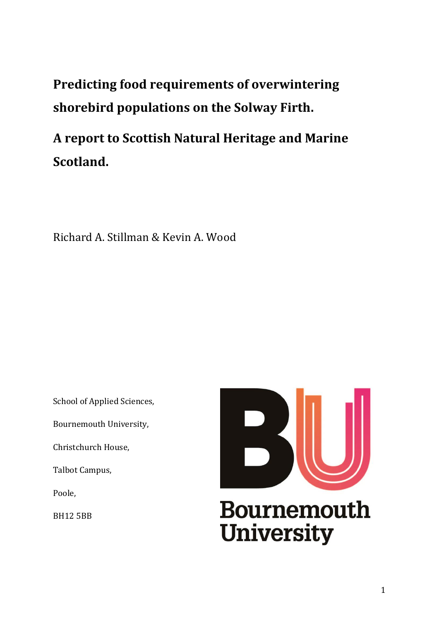**Predicting food requirements of overwintering shorebird populations on the Solway Firth.**

**A report to Scottish Natural Heritage and Marine Scotland.**

Richard A. Stillman & Kevin A. Wood

School of Applied Sciences,

Bournemouth University,

Christchurch House,

Talbot Campus,

Poole,

BH12 5BB

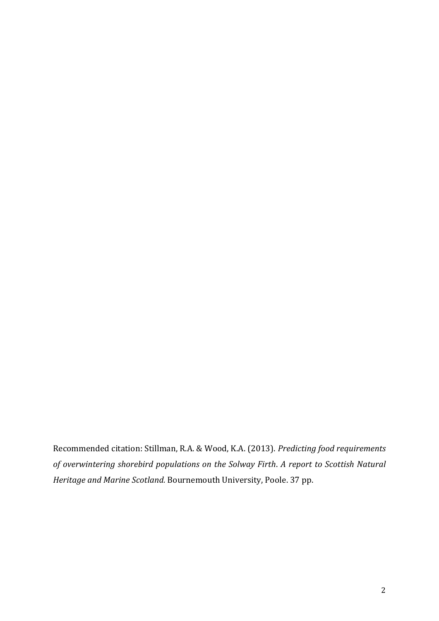Recommended citation: Stillman, R.A. & Wood, K.A. (2013). *Predicting food requirements of overwintering shorebird populations on the Solway Firth*. *A report to Scottish Natural Heritage and Marine Scotland.* Bournemouth University, Poole. 37 pp.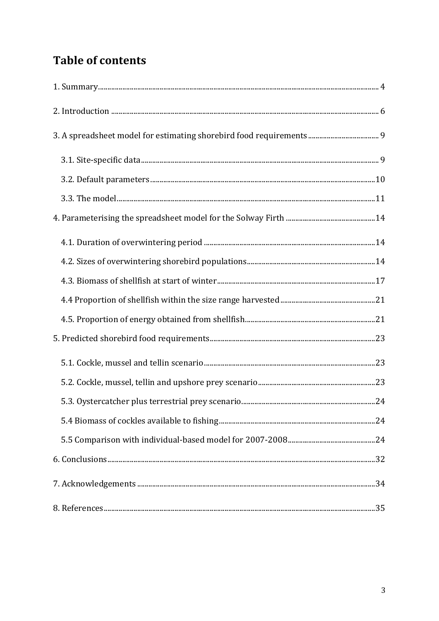# **Table of contents**

| $1. \; \mathsf{Summary} \; \mathit{} \; \mathit{} \; \mathit{} \; \mathit{} \; \mathit{} \; \mathit{} \; \mathit{} \; \mathit{} \; \mathit{} \; \mathit{1} \; \mathit{1}$ |  |
|---------------------------------------------------------------------------------------------------------------------------------------------------------------------------|--|
|                                                                                                                                                                           |  |
|                                                                                                                                                                           |  |
|                                                                                                                                                                           |  |
|                                                                                                                                                                           |  |
|                                                                                                                                                                           |  |
|                                                                                                                                                                           |  |
|                                                                                                                                                                           |  |
|                                                                                                                                                                           |  |
|                                                                                                                                                                           |  |
|                                                                                                                                                                           |  |
|                                                                                                                                                                           |  |
|                                                                                                                                                                           |  |
|                                                                                                                                                                           |  |
|                                                                                                                                                                           |  |
|                                                                                                                                                                           |  |
|                                                                                                                                                                           |  |
|                                                                                                                                                                           |  |
|                                                                                                                                                                           |  |
|                                                                                                                                                                           |  |
|                                                                                                                                                                           |  |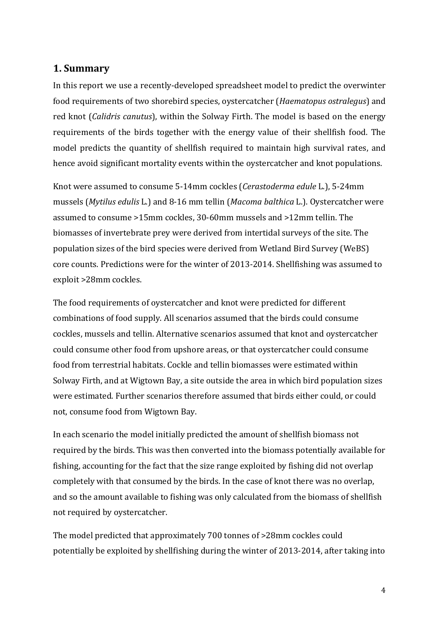### **1. Summary**

In this report we use a recently-developed spreadsheet model to predict the overwinter food requirements of two shorebird species, oystercatcher (*Haematopus ostralegus*) and red knot (*Calidris canutus*), within the Solway Firth. The model is based on the energy requirements of the birds together with the energy value of their shellfish food. The model predicts the quantity of shellfish required to maintain high survival rates, and hence avoid significant mortality events within the oystercatcher and knot populations.

Knot were assumed to consume 5-14mm cockles (*Cerastoderma edule* L.), 5-24mm mussels (*Mytilus edulis* L.) and 8-16 mm tellin (*Macoma balthica* L.). Oystercatcher were assumed to consume >15mm cockles, 30-60mm mussels and >12mm tellin. The biomasses of invertebrate prey were derived from intertidal surveys of the site. The population sizes of the bird species were derived from Wetland Bird Survey (WeBS) core counts. Predictions were for the winter of 2013-2014. Shellfishing was assumed to exploit >28mm cockles.

The food requirements of oystercatcher and knot were predicted for different combinations of food supply. All scenarios assumed that the birds could consume cockles, mussels and tellin. Alternative scenarios assumed that knot and oystercatcher could consume other food from upshore areas, or that oystercatcher could consume food from terrestrial habitats. Cockle and tellin biomasses were estimated within Solway Firth, and at Wigtown Bay, a site outside the area in which bird population sizes were estimated. Further scenarios therefore assumed that birds either could, or could not, consume food from Wigtown Bay.

In each scenario the model initially predicted the amount of shellfish biomass not required by the birds. This was then converted into the biomass potentially available for fishing, accounting for the fact that the size range exploited by fishing did not overlap completely with that consumed by the birds. In the case of knot there was no overlap, and so the amount available to fishing was only calculated from the biomass of shellfish not required by oystercatcher.

The model predicted that approximately 700 tonnes of >28mm cockles could potentially be exploited by shellfishing during the winter of 2013-2014, after taking into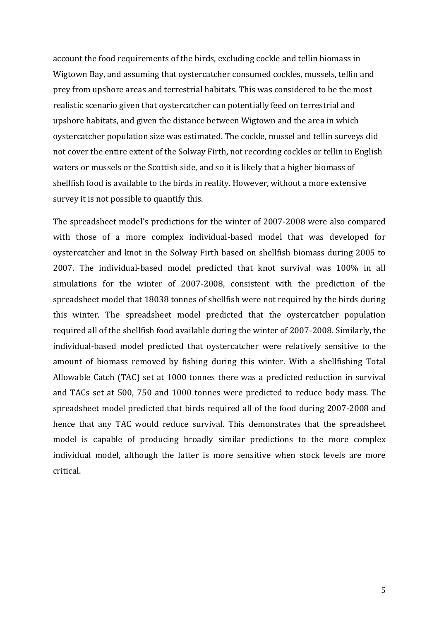account the food requirements of the birds, excluding cockle and tellin biomass in Wigtown Bay, and assuming that oystercatcher consumed cockles, mussels, tellin and prey from upshore areas and terrestrial habitats. This was considered to be the most realistic scenario given that oystercatcher can potentially feed on terrestrial and upshore habitats, and given the distance between Wigtown and the area in which oystercatcher population size was estimated. The cockle, mussel and tellin surveys did not cover the entire extent of the Solway Firth, not recording cockles or tellin in English waters or mussels or the Scottish side, and so it is likely that a higher biomass of shellfish food is available to the birds in reality. However, without a more extensive survey it is not possible to quantify this.

The spreadsheet model's predictions for the winter of 2007-2008 were also compared with those of a more complex individual-based model that was developed for oystercatcher and knot in the Solway Firth based on shellfish biomass during 2005 to 2007. The individual-based model predicted that knot survival was 100% in all simulations for the winter of 2007-2008, consistent with the prediction of the spreadsheet model that 18038 tonnes of shellfish were not required by the birds during this winter. The spreadsheet model predicted that the oystercatcher population required all of the shellfish food available during the winter of 2007-2008. Similarly, the individual-based model predicted that oystercatcher were relatively sensitive to the amount of biomass removed by fishing during this winter. With a shellfishing Total Allowable Catch (TAC) set at 1000 tonnes there was a predicted reduction in survival and TACs set at 500, 750 and 1000 tonnes were predicted to reduce body mass. The spreadsheet model predicted that birds required all of the food during 2007-2008 and hence that any TAC would reduce survival. This demonstrates that the spreadsheet model is capable of producing broadly similar predictions to the more complex individual model, although the latter is more sensitive when stock levels are more critical.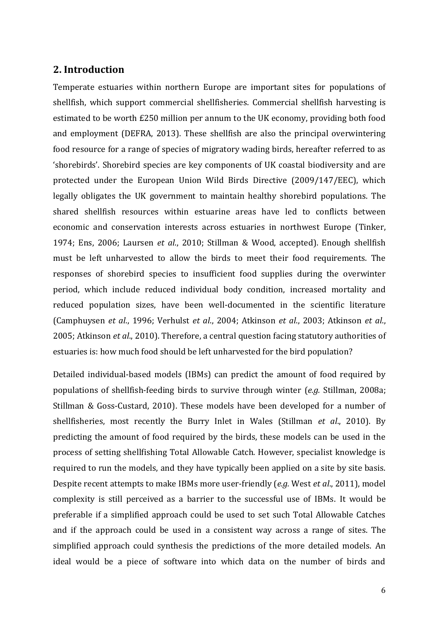### **2. Introduction**

Temperate estuaries within northern Europe are important sites for populations of shellfish, which support commercial shellfisheries. Commercial shellfish harvesting is estimated to be worth £250 million per annum to the UK economy, providing both food and employment (DEFRA, 2013). These shellfish are also the principal overwintering food resource for a range of species of migratory wading birds, hereafter referred to as 'shorebirds'. Shorebird species are key components of UK coastal biodiversity and are protected under the European Union Wild Birds Directive (2009/147/EEC), which legally obligates the UK government to maintain healthy shorebird populations. The shared shellfish resources within estuarine areas have led to conflicts between economic and conservation interests across estuaries in northwest Europe (Tinker, 1974; Ens, 2006; Laursen *et al*., 2010; Stillman & Wood, accepted). Enough shellfish must be left unharvested to allow the birds to meet their food requirements. The responses of shorebird species to insufficient food supplies during the overwinter period, which include reduced individual body condition, increased mortality and reduced population sizes, have been well-documented in the scientific literature (Camphuysen *et al*., 1996; Verhulst *et al*., 2004; Atkinson *et al*., 2003; Atkinson *et al*., 2005; Atkinson *et al*., 2010). Therefore, a central question facing statutory authorities of estuaries is: how much food should be left unharvested for the bird population?

Detailed individual-based models (IBMs) can predict the amount of food required by populations of shellfish-feeding birds to survive through winter (*e.g.* Stillman, 2008a; Stillman & Goss-Custard, 2010). These models have been developed for a number of shellfisheries, most recently the Burry Inlet in Wales (Stillman *et al*., 2010). By predicting the amount of food required by the birds, these models can be used in the process of setting shellfishing Total Allowable Catch. However, specialist knowledge is required to run the models, and they have typically been applied on a site by site basis. Despite recent attempts to make IBMs more user-friendly (*e.g.* West *et al*., 2011), model complexity is still perceived as a barrier to the successful use of IBMs. It would be preferable if a simplified approach could be used to set such Total Allowable Catches and if the approach could be used in a consistent way across a range of sites. The simplified approach could synthesis the predictions of the more detailed models. An ideal would be a piece of software into which data on the number of birds and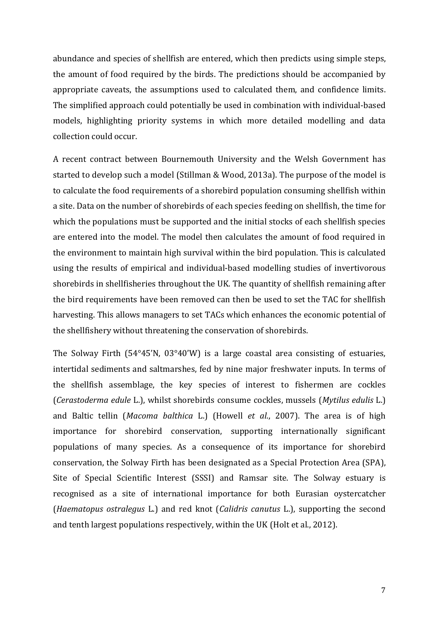abundance and species of shellfish are entered, which then predicts using simple steps, the amount of food required by the birds. The predictions should be accompanied by appropriate caveats, the assumptions used to calculated them, and confidence limits. The simplified approach could potentially be used in combination with individual-based models, highlighting priority systems in which more detailed modelling and data collection could occur.

A recent contract between Bournemouth University and the Welsh Government has started to develop such a model (Stillman & Wood, 2013a). The purpose of the model is to calculate the food requirements of a shorebird population consuming shellfish within a site. Data on the number of shorebirds of each species feeding on shellfish, the time for which the populations must be supported and the initial stocks of each shellfish species are entered into the model. The model then calculates the amount of food required in the environment to maintain high survival within the bird population. This is calculated using the results of empirical and individual-based modelling studies of invertivorous shorebirds in shellfisheries throughout the UK. The quantity of shellfish remaining after the bird requirements have been removed can then be used to set the TAC for shellfish harvesting. This allows managers to set TACs which enhances the economic potential of the shellfishery without threatening the conservation of shorebirds.

The Solway Firth (54°45'N, 03°40'W) is a large coastal area consisting of estuaries, intertidal sediments and saltmarshes, fed by nine major freshwater inputs. In terms of the shellfish assemblage, the key species of interest to fishermen are cockles (*Cerastoderma edule* L.), whilst shorebirds consume cockles, mussels (*Mytilus edulis* L.) and Baltic tellin (*Macoma balthica* L.) (Howell *et al*., 2007). The area is of high importance for shorebird conservation, supporting internationally significant populations of many species. As a consequence of its importance for shorebird conservation, the Solway Firth has been designated as a Special Protection Area (SPA), Site of Special Scientific Interest (SSSI) and Ramsar site. The Solway estuary is recognised as a site of international importance for both Eurasian oystercatcher (*Haematopus ostralegus* L.) and red knot (*Calidris canutus* L.), supporting the second and tenth largest populations respectively, within the UK (Holt et al., 2012).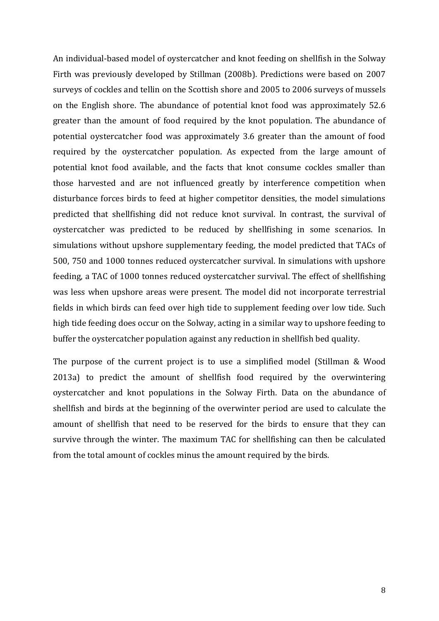An individual-based model of oystercatcher and knot feeding on shellfish in the Solway Firth was previously developed by Stillman (2008b). Predictions were based on 2007 surveys of cockles and tellin on the Scottish shore and 2005 to 2006 surveys of mussels on the English shore. The abundance of potential knot food was approximately 52.6 greater than the amount of food required by the knot population. The abundance of potential oystercatcher food was approximately 3.6 greater than the amount of food required by the oystercatcher population. As expected from the large amount of potential knot food available, and the facts that knot consume cockles smaller than those harvested and are not influenced greatly by interference competition when disturbance forces birds to feed at higher competitor densities, the model simulations predicted that shellfishing did not reduce knot survival. In contrast, the survival of oystercatcher was predicted to be reduced by shellfishing in some scenarios. In simulations without upshore supplementary feeding, the model predicted that TACs of 500, 750 and 1000 tonnes reduced oystercatcher survival. In simulations with upshore feeding, a TAC of 1000 tonnes reduced oystercatcher survival. The effect of shellfishing was less when upshore areas were present. The model did not incorporate terrestrial fields in which birds can feed over high tide to supplement feeding over low tide. Such high tide feeding does occur on the Solway, acting in a similar way to upshore feeding to buffer the oystercatcher population against any reduction in shellfish bed quality.

The purpose of the current project is to use a simplified model (Stillman & Wood 2013a) to predict the amount of shellfish food required by the overwintering oystercatcher and knot populations in the Solway Firth. Data on the abundance of shellfish and birds at the beginning of the overwinter period are used to calculate the amount of shellfish that need to be reserved for the birds to ensure that they can survive through the winter. The maximum TAC for shellfishing can then be calculated from the total amount of cockles minus the amount required by the birds.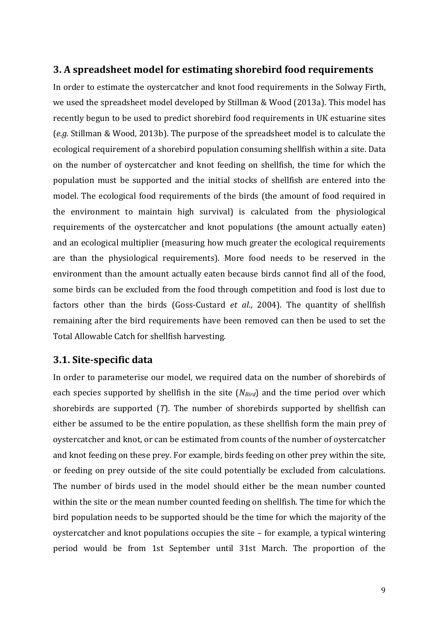#### **3. A spreadsheet model for estimating shorebird food requirements**

In order to estimate the oystercatcher and knot food requirements in the Solway Firth, we used the spreadsheet model developed by Stillman & Wood (2013a). This model has recently begun to be used to predict shorebird food requirements in UK estuarine sites (*e.g.* Stillman & Wood, 2013b). The purpose of the spreadsheet model is to calculate the ecological requirement of a shorebird population consuming shellfish within a site. Data on the number of oystercatcher and knot feeding on shellfish, the time for which the population must be supported and the initial stocks of shellfish are entered into the model. The ecological food requirements of the birds (the amount of food required in the environment to maintain high survival) is calculated from the physiological requirements of the oystercatcher and knot populations (the amount actually eaten) and an ecological multiplier (measuring how much greater the ecological requirements are than the physiological requirements). More food needs to be reserved in the environment than the amount actually eaten because birds cannot find all of the food, some birds can be excluded from the food through competition and food is lost due to factors other than the birds (Goss-Custard *et al*., 2004). The quantity of shellfish remaining after the bird requirements have been removed can then be used to set the Total Allowable Catch for shellfish harvesting.

### **3.1. Site-specific data**

In order to parameterise our model, we required data on the number of shorebirds of each species supported by shellfish in the site (*NBird*) and the time period over which shorebirds are supported (*T*). The number of shorebirds supported by shellfish can either be assumed to be the entire population, as these shellfish form the main prey of oystercatcher and knot, or can be estimated from counts of the number of oystercatcher and knot feeding on these prey. For example, birds feeding on other prey within the site, or feeding on prey outside of the site could potentially be excluded from calculations. The number of birds used in the model should either be the mean number counted within the site or the mean number counted feeding on shellfish. The time for which the bird population needs to be supported should be the time for which the majority of the oystercatcher and knot populations occupies the site – for example, a typical wintering period would be from 1st September until 31st March. The proportion of the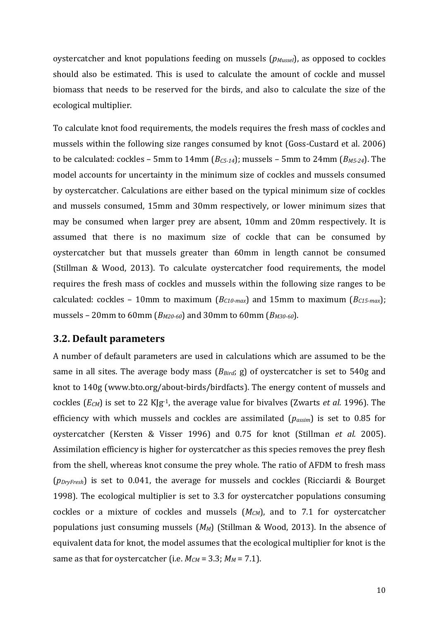oystercatcher and knot populations feeding on mussels (*pMussel*), as opposed to cockles should also be estimated. This is used to calculate the amount of cockle and mussel biomass that needs to be reserved for the birds, and also to calculate the size of the ecological multiplier.

To calculate knot food requirements, the models requires the fresh mass of cockles and mussels within the following size ranges consumed by knot (Goss-Custard et al. 2006) to be calculated: cockles – 5mm to 14mm (*BC5-14*); mussels – 5mm to 24mm (*BM5-24*). The model accounts for uncertainty in the minimum size of cockles and mussels consumed by oystercatcher. Calculations are either based on the typical minimum size of cockles and mussels consumed, 15mm and 30mm respectively, or lower minimum sizes that may be consumed when larger prey are absent, 10mm and 20mm respectively. It is assumed that there is no maximum size of cockle that can be consumed by oystercatcher but that mussels greater than 60mm in length cannot be consumed (Stillman & Wood, 2013). To calculate oystercatcher food requirements, the model requires the fresh mass of cockles and mussels within the following size ranges to be calculated: cockles – 10mm to maximum (*BC10-max*) and 15mm to maximum (*BC15-max*); mussels – 20mm to 60mm (*BM20-60*) and 30mm to 60mm (*BM30-60*).

#### **3.2. Default parameters**

A number of default parameters are used in calculations which are assumed to be the same in all sites. The average body mass (*BBird*; g) of oystercatcher is set to 540g and knot to 140g (www.bto.org/about-birds/birdfacts). The energy content of mussels and cockles (*ECM*) is set to 22 KJg-1, the average value for bivalves (Zwarts *et al*. 1996). The efficiency with which mussels and cockles are assimilated (*passim*) is set to 0.85 for oystercatcher (Kersten & Visser 1996) and 0.75 for knot (Stillman *et al.* 2005). Assimilation efficiency is higher for oystercatcher as this species removes the prey flesh from the shell, whereas knot consume the prey whole. The ratio of AFDM to fresh mass (*pDryFresh*) is set to 0.041, the average for mussels and cockles (Ricciardi & Bourget 1998). The ecological multiplier is set to 3.3 for oystercatcher populations consuming cockles or a mixture of cockles and mussels (*MCM*), and to 7.1 for oystercatcher populations just consuming mussels (*MM*) (Stillman & Wood, 2013). In the absence of equivalent data for knot, the model assumes that the ecological multiplier for knot is the same as that for oystercatcher (i.e.  $M_{CM} = 3.3$ ;  $M_M = 7.1$ ).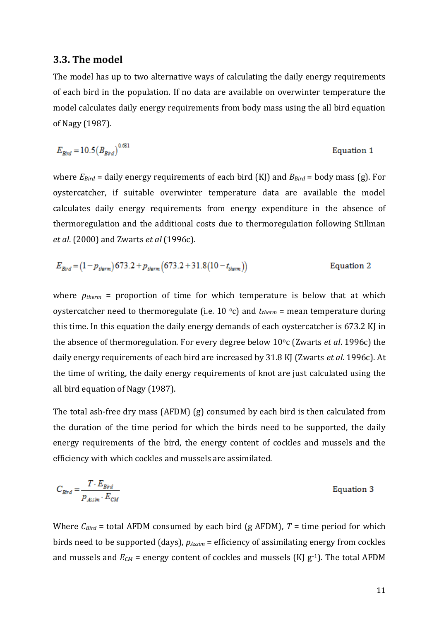#### **3.3. The model**

The model has up to two alternative ways of calculating the daily energy requirements of each bird in the population. If no data are available on overwinter temperature the model calculates daily energy requirements from body mass using the all bird equation of Nagy (1987).

$$
E_{\text{Bind}} = 10.5 \left( B_{\text{Bind}} \right)^{0.681}
$$
 Equation 1

where *EBird* = daily energy requirements of each bird (KJ) and *BBird* = body mass (g). For oystercatcher, if suitable overwinter temperature data are available the model calculates daily energy requirements from energy expenditure in the absence of thermoregulation and the additional costs due to thermoregulation following Stillman *et al*. (2000) and Zwarts *et al* (1996c).

$$
E_{\text{Bird}} = (1 - p_{\text{therm}}) 673.2 + p_{\text{therm}} (673.2 + 31.8(10 - t_{\text{therm}}))
$$
 Equation 2

where  $p_{therm}$  = proportion of time for which temperature is below that at which oystercatcher need to thermoregulate (i.e. 10 °c) and  $t_{therm}$  = mean temperature during this time. In this equation the daily energy demands of each oystercatcher is 673.2 KJ in the absence of thermoregulation. For every degree below 10°c (Zwarts *et al.* 1996c) the daily energy requirements of each bird are increased by 31.8 KJ (Zwarts *et al*. 1996c). At the time of writing, the daily energy requirements of knot are just calculated using the all bird equation of Nagy (1987).

The total ash-free dry mass (AFDM) (g) consumed by each bird is then calculated from the duration of the time period for which the birds need to be supported, the daily energy requirements of the bird, the energy content of cockles and mussels and the efficiency with which cockles and mussels are assimilated.

$$
C_{\text{Bird}} = \frac{T \cdot E_{\text{Bird}}}{p_{\text{Assim}} \cdot E_{\text{CM}}}
$$
 Equation 3

Where  $C_{Bird}$  = total AFDM consumed by each bird (g AFDM),  $T =$  time period for which birds need to be supported (days), *pAssim* = efficiency of assimilating energy from cockles and mussels and  $E_{CM}$  = energy content of cockles and mussels (KJ  $g^{-1}$ ). The total AFDM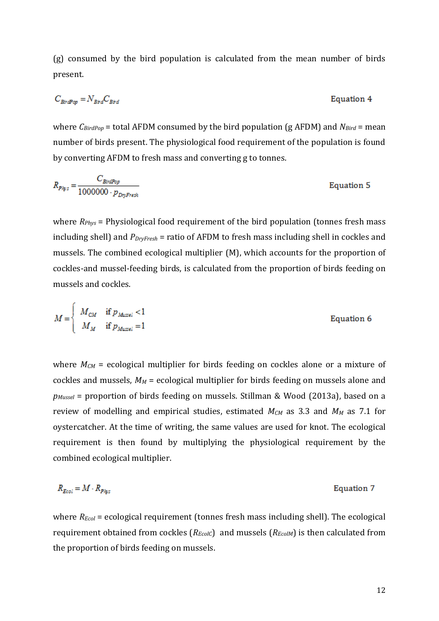(g) consumed by the bird population is calculated from the mean number of birds present.

$$
C_{\text{BirdPop}} = N_{\text{Brd}} C_{\text{Brd}}
$$
 Equation 4

where *CBirdPop* = total AFDM consumed by the bird population (g AFDM) and *NBird* = mean number of birds present. The physiological food requirement of the population is found by converting AFDM to fresh mass and converting g to tonnes.

$$
R_{P\dot{\eta}^{i5}} = \frac{C_{\text{BirdPop}}}{1000000 \cdot p_{\text{DryFresh}}} \tag{Equation 5}
$$

where *RPhys* = Physiological food requirement of the bird population (tonnes fresh mass including shell) and *PDryFresh* = ratio of AFDM to fresh mass including shell in cockles and mussels. The combined ecological multiplier (M), which accounts for the proportion of cockles-and mussel-feeding birds, is calculated from the proportion of birds feeding on mussels and cockles.

$$
M = \begin{cases} M_{CM} & \text{if } p_{Mussel} < 1 \\ M_M & \text{if } p_{Mussel} = 1 \end{cases} \tag{Equation 6}
$$

ŕ

where  $M_{CM}$  = ecological multiplier for birds feeding on cockles alone or a mixture of cockles and mussels, *M<sup>M</sup>* = ecological multiplier for birds feeding on mussels alone and *pMussel* = proportion of birds feeding on mussels. Stillman & Wood (2013a), based on a review of modelling and empirical studies, estimated *MCM* as 3.3 and *M<sup>M</sup>* as 7.1 for oystercatcher. At the time of writing, the same values are used for knot. The ecological requirement is then found by multiplying the physiological requirement by the combined ecological multiplier.

$$
R_{Ecol} = M \cdot R_{P/q:s}
$$
 Equation 7

where  $R_{Ecol}$  = ecological requirement (tonnes fresh mass including shell). The ecological requirement obtained from cockles ( $R_{EcolC}$ ) and mussels ( $R_{EcolM}$ ) is then calculated from the proportion of birds feeding on mussels.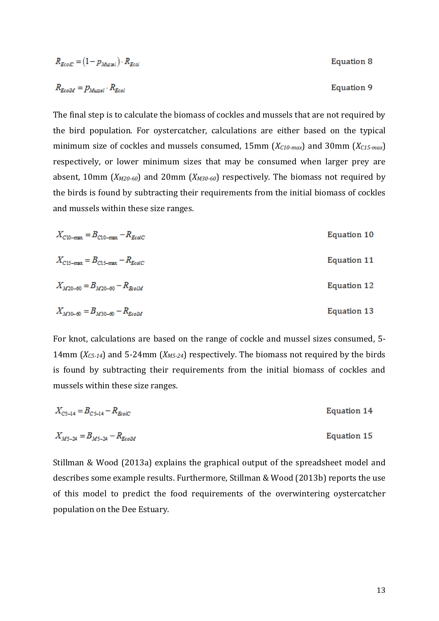$$
R_{EcoIC} = (1 - p_{Mussi}) \cdot R_{EcoI}
$$
  
Equation 8  

$$
R_{EcoM} = p_{Mussel} \cdot R_{EcoI}
$$
  
Equation 9

The final step is to calculate the biomass of cockles and mussels that are not required by the bird population. For oystercatcher, calculations are either based on the typical minimum size of cockles and mussels consumed, 15mm (*XC10-max*) and 30mm (*XC15-max*) respectively, or lower minimum sizes that may be consumed when larger prey are absent, 10mm (*XM20-60*) and 20mm (*XM30-60*) respectively. The biomass not required by the birds is found by subtracting their requirements from the initial biomass of cockles and mussels within these size ranges.

$$
X_{C10\text{-max}} = B_{C10\text{-max}} - R_{EcolC}
$$
\n
$$
X_{C15\text{-max}} = B_{C15\text{-max}} - R_{EcolC}
$$
\nEquation 11\n
$$
X_{M20-60} = B_{M20-60} - R_{EcolM}
$$
\nEquation 12

$$
X_{M30-60} = B_{M30-60} - R_{EcoM}
$$
 Equation 13

For knot, calculations are based on the range of cockle and mussel sizes consumed, 5- 14mm (*XC5-14*) and 5-24mm (*XM5-24*) respectively. The biomass not required by the birds is found by subtracting their requirements from the initial biomass of cockles and mussels within these size ranges.

$$
X_{C5-14} = B_{C5-14} - R_{E \circ C}
$$
 Equation 14

$$
X_{M5-24} = B_{M5-24} - R_{EcoM}
$$
 Equation 15

Stillman & Wood (2013a) explains the graphical output of the spreadsheet model and describes some example results. Furthermore, Stillman & Wood (2013b) reports the use of this model to predict the food requirements of the overwintering oystercatcher population on the Dee Estuary.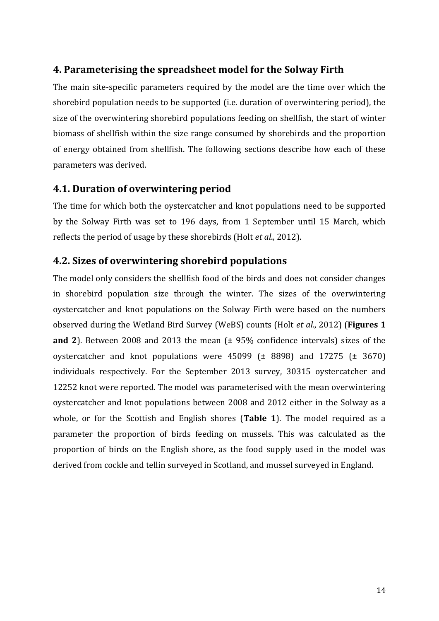# **4. Parameterising the spreadsheet model for the Solway Firth**

The main site-specific parameters required by the model are the time over which the shorebird population needs to be supported (i.e. duration of overwintering period), the size of the overwintering shorebird populations feeding on shellfish, the start of winter biomass of shellfish within the size range consumed by shorebirds and the proportion of energy obtained from shellfish. The following sections describe how each of these parameters was derived.

# **4.1. Duration of overwintering period**

The time for which both the oystercatcher and knot populations need to be supported by the Solway Firth was set to 196 days, from 1 September until 15 March, which reflects the period of usage by these shorebirds (Holt *et al*., 2012).

# **4.2. Sizes of overwintering shorebird populations**

The model only considers the shellfish food of the birds and does not consider changes in shorebird population size through the winter. The sizes of the overwintering oystercatcher and knot populations on the Solway Firth were based on the numbers observed during the Wetland Bird Survey (WeBS) counts (Holt *et al*., 2012) (**Figures 1 and 2**). Between 2008 and 2013 the mean (± 95% confidence intervals) sizes of the oystercatcher and knot populations were  $45099$  ( $\pm$  8898) and 17275 ( $\pm$  3670) individuals respectively. For the September 2013 survey, 30315 oystercatcher and 12252 knot were reported. The model was parameterised with the mean overwintering oystercatcher and knot populations between 2008 and 2012 either in the Solway as a whole, or for the Scottish and English shores (**Table 1**). The model required as a parameter the proportion of birds feeding on mussels. This was calculated as the proportion of birds on the English shore, as the food supply used in the model was derived from cockle and tellin surveyed in Scotland, and mussel surveyed in England.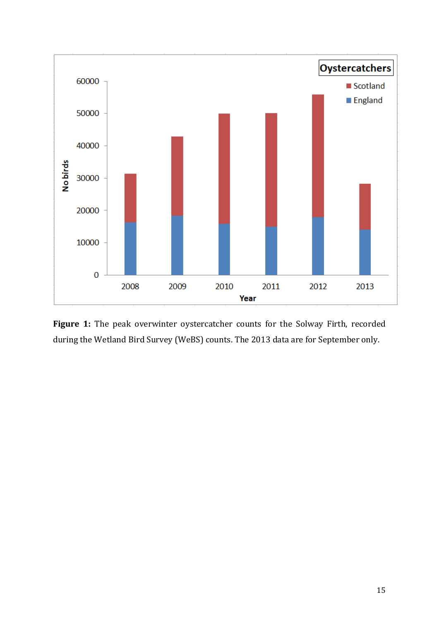

**Figure 1:** The peak overwinter oystercatcher counts for the Solway Firth, recorded during the Wetland Bird Survey (WeBS) counts. The 2013 data are for September only.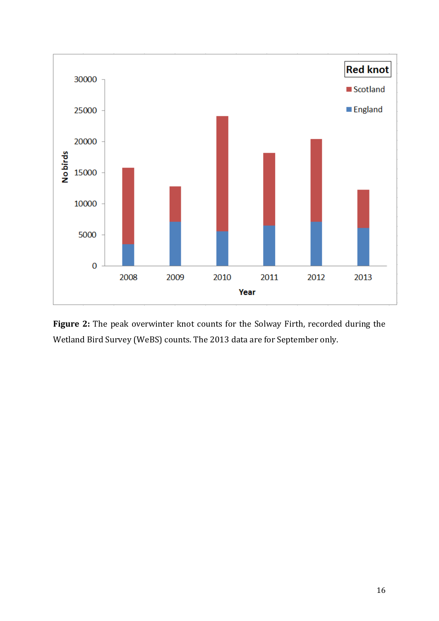

**Figure 2:** The peak overwinter knot counts for the Solway Firth, recorded during the Wetland Bird Survey (WeBS) counts. The 2013 data are for September only.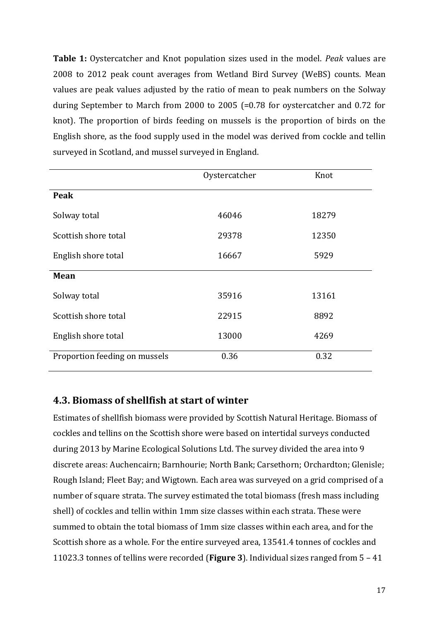**Table 1:** Oystercatcher and Knot population sizes used in the model. *Peak* values are 2008 to 2012 peak count averages from Wetland Bird Survey (WeBS) counts. Mean values are peak values adjusted by the ratio of mean to peak numbers on the Solway during September to March from 2000 to 2005 (=0.78 for oystercatcher and 0.72 for knot). The proportion of birds feeding on mussels is the proportion of birds on the English shore, as the food supply used in the model was derived from cockle and tellin surveyed in Scotland, and mussel surveyed in England.

|                               | Oystercatcher | Knot  |
|-------------------------------|---------------|-------|
| Peak                          |               |       |
| Solway total                  | 46046         | 18279 |
| Scottish shore total          | 29378         | 12350 |
| English shore total           | 16667         | 5929  |
| <b>Mean</b>                   |               |       |
| Solway total                  | 35916         | 13161 |
| Scottish shore total          | 22915         | 8892  |
| English shore total           | 13000         | 4269  |
| Proportion feeding on mussels | 0.36          | 0.32  |

### **4.3. Biomass of shellfish at start of winter**

Estimates of shellfish biomass were provided by Scottish Natural Heritage. Biomass of cockles and tellins on the Scottish shore were based on intertidal surveys conducted during 2013 by Marine Ecological Solutions Ltd. The survey divided the area into 9 discrete areas: Auchencairn; Barnhourie; North Bank; Carsethorn; Orchardton; Glenisle; Rough Island; Fleet Bay; and Wigtown. Each area was surveyed on a grid comprised of a number of square strata. The survey estimated the total biomass (fresh mass including shell) of cockles and tellin within 1mm size classes within each strata. These were summed to obtain the total biomass of 1mm size classes within each area, and for the Scottish shore as a whole. For the entire surveyed area, 13541.4 tonnes of cockles and 11023.3 tonnes of tellins were recorded (**Figure 3**). Individual sizes ranged from 5 – 41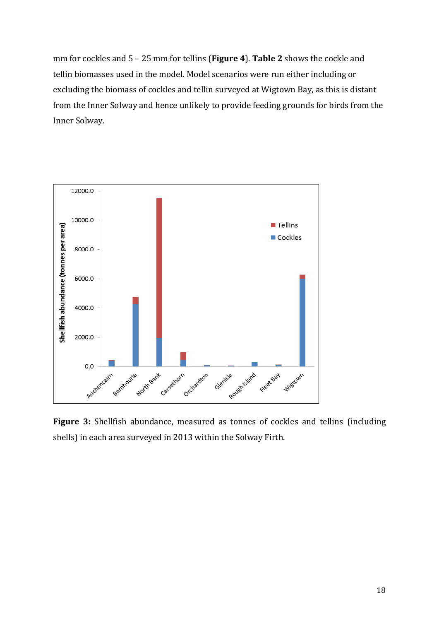mm for cockles and 5 – 25 mm for tellins (**Figure 4**). **Table 2** shows the cockle and tellin biomasses used in the model. Model scenarios were run either including or excluding the biomass of cockles and tellin surveyed at Wigtown Bay, as this is distant from the Inner Solway and hence unlikely to provide feeding grounds for birds from the Inner Solway.



**Figure 3:** Shellfish abundance, measured as tonnes of cockles and tellins (including shells) in each area surveyed in 2013 within the Solway Firth.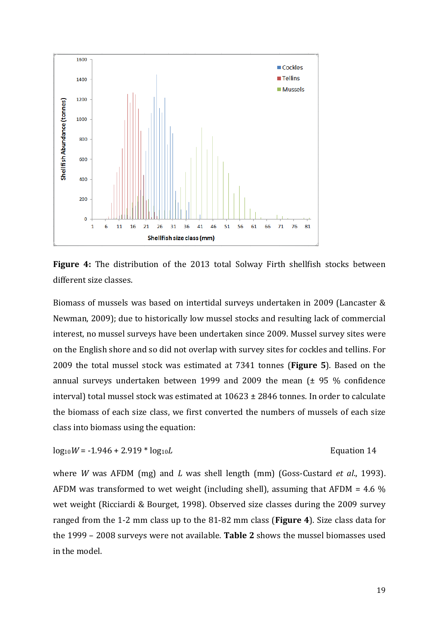

**Figure 4:** The distribution of the 2013 total Solway Firth shellfish stocks between different size classes.

Biomass of mussels was based on intertidal surveys undertaken in 2009 (Lancaster & Newman, 2009); due to historically low mussel stocks and resulting lack of commercial interest, no mussel surveys have been undertaken since 2009. Mussel survey sites were on the English shore and so did not overlap with survey sites for cockles and tellins. For 2009 the total mussel stock was estimated at 7341 tonnes (**Figure 5**). Based on the annual surveys undertaken between 1999 and 2009 the mean  $(± 95 %$  confidence interval) total mussel stock was estimated at 10623 ± 2846 tonnes. In order to calculate the biomass of each size class, we first converted the numbers of mussels of each size class into biomass using the equation:

$$
log_{10}W = -1.946 + 2.919 * log_{10}L
$$
 *Equation 14*

where *W* was AFDM (mg) and *L* was shell length (mm) (Goss-Custard *et al*., 1993). AFDM was transformed to wet weight (including shell), assuming that AFDM = 4.6 % wet weight (Ricciardi & Bourget, 1998). Observed size classes during the 2009 survey ranged from the 1-2 mm class up to the 81-82 mm class (**Figure 4**). Size class data for the 1999 – 2008 surveys were not available. **Table 2** shows the mussel biomasses used in the model.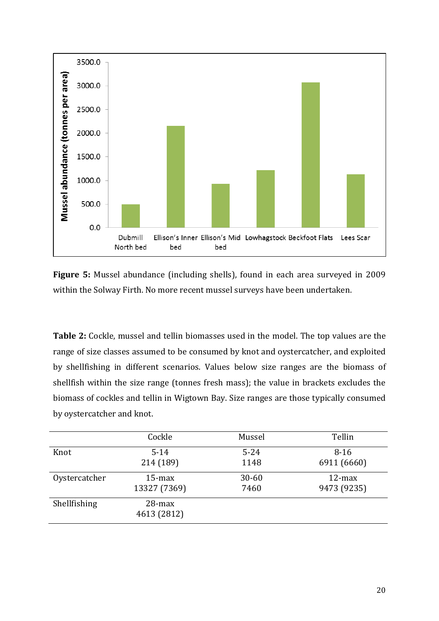

**Figure 5:** Mussel abundance (including shells), found in each area surveyed in 2009 within the Solway Firth. No more recent mussel surveys have been undertaken.

**Table 2:** Cockle, mussel and tellin biomasses used in the model. The top values are the range of size classes assumed to be consumed by knot and oystercatcher, and exploited by shellfishing in different scenarios. Values below size ranges are the biomass of shellfish within the size range (tonnes fresh mass); the value in brackets excludes the biomass of cockles and tellin in Wigtown Bay. Size ranges are those typically consumed by oystercatcher and knot.

|               | Cockle                   | Mussel    | Tellin      |
|---------------|--------------------------|-----------|-------------|
| Knot          | $5 - 14$                 | $5 - 24$  | $8 - 16$    |
|               | 214 (189)                | 1148      | 6911 (6660) |
| Oystercatcher | $15$ -max                | $30 - 60$ | $12$ -max   |
|               | 13327 (7369)             | 7460      | 9473 (9235) |
| Shellfishing  | $28$ -max<br>4613 (2812) |           |             |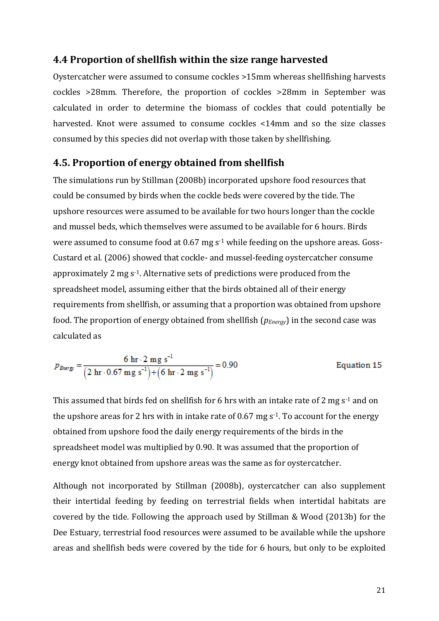### **4.4 Proportion of shellfish within the size range harvested**

Oystercatcher were assumed to consume cockles >15mm whereas shellfishing harvests cockles >28mm. Therefore, the proportion of cockles >28mm in September was calculated in order to determine the biomass of cockles that could potentially be harvested. Knot were assumed to consume cockles <14mm and so the size classes consumed by this species did not overlap with those taken by shellfishing.

### **4.5. Proportion of energy obtained from shellfish**

The simulations run by Stillman (2008b) incorporated upshore food resources that could be consumed by birds when the cockle beds were covered by the tide. The upshore resources were assumed to be available for two hours longer than the cockle and mussel beds, which themselves were assumed to be available for 6 hours. Birds were assumed to consume food at 0.67 mg s<sup>-1</sup> while feeding on the upshore areas. Goss-Custard et al. (2006) showed that cockle- and mussel-feeding oystercatcher consume approximately 2 mg s-1. Alternative sets of predictions were produced from the spreadsheet model, assuming either that the birds obtained all of their energy requirements from shellfish, or assuming that a proportion was obtained from upshore food. The proportion of energy obtained from shellfish (*pEnergy*) in the second case was calculated as

$$
p_{Bvery} = \frac{6 \text{ hr} \cdot 2 \text{ mg s}^{-1}}{(2 \text{ hr} \cdot 0.67 \text{ mg s}^{-1}) + (6 \text{ hr} \cdot 2 \text{ mg s}^{-1})} = 0.90
$$
 Equation 15

This assumed that birds fed on shellfish for 6 hrs with an intake rate of 2 mg  $s<sup>-1</sup>$  and on the upshore areas for 2 hrs with in intake rate of  $0.67$  mg s<sup>-1</sup>. To account for the energy obtained from upshore food the daily energy requirements of the birds in the spreadsheet model was multiplied by 0.90. It was assumed that the proportion of energy knot obtained from upshore areas was the same as for oystercatcher.

Although not incorporated by Stillman (2008b), oystercatcher can also supplement their intertidal feeding by feeding on terrestrial fields when intertidal habitats are covered by the tide. Following the approach used by Stillman & Wood (2013b) for the Dee Estuary, terrestrial food resources were assumed to be available while the upshore areas and shellfish beds were covered by the tide for 6 hours, but only to be exploited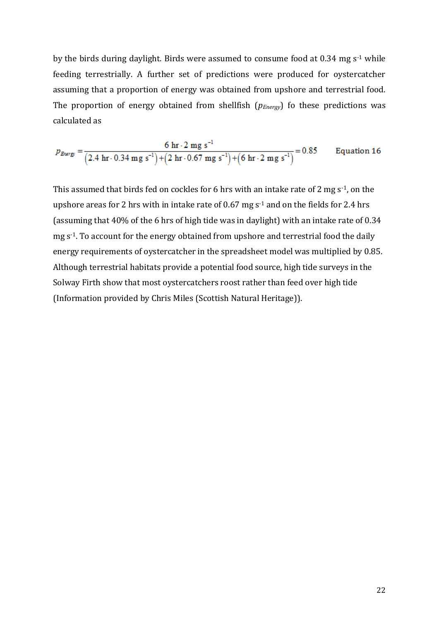by the birds during daylight. Birds were assumed to consume food at 0.34 mg s-1 while feeding terrestrially. A further set of predictions were produced for oystercatcher assuming that a proportion of energy was obtained from upshore and terrestrial food. The proportion of energy obtained from shellfish (*pEnergy*) fo these predictions was calculated as

$$
p_{Bvery} = \frac{6 \text{ hr} \cdot 2 \text{ mg s}^{-1}}{(2.4 \text{ hr} \cdot 0.34 \text{ mg s}^{-1}) + (2 \text{ hr} \cdot 0.67 \text{ mg s}^{-1}) + (6 \text{ hr} \cdot 2 \text{ mg s}^{-1})} = 0.85
$$
 Equation 16

This assumed that birds fed on cockles for 6 hrs with an intake rate of 2 mg  $s<sup>-1</sup>$ , on the upshore areas for 2 hrs with in intake rate of 0.67 mg  $s<sup>-1</sup>$  and on the fields for 2.4 hrs (assuming that 40% of the 6 hrs of high tide was in daylight) with an intake rate of 0.34 mg s<sup>-1</sup>. To account for the energy obtained from upshore and terrestrial food the daily energy requirements of oystercatcher in the spreadsheet model was multiplied by 0.85. Although terrestrial habitats provide a potential food source, high tide surveys in the Solway Firth show that most oystercatchers roost rather than feed over high tide (Information provided by Chris Miles (Scottish Natural Heritage)).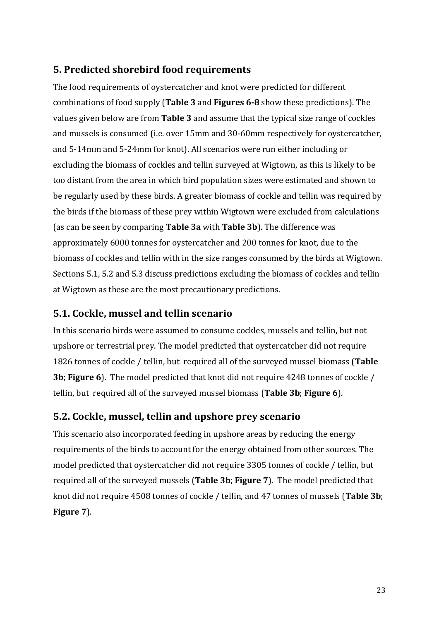# **5. Predicted shorebird food requirements**

The food requirements of oystercatcher and knot were predicted for different combinations of food supply (**Table 3** and **Figures 6-8** show these predictions). The values given below are from **Table 3** and assume that the typical size range of cockles and mussels is consumed (i.e. over 15mm and 30-60mm respectively for oystercatcher, and 5-14mm and 5-24mm for knot). All scenarios were run either including or excluding the biomass of cockles and tellin surveyed at Wigtown, as this is likely to be too distant from the area in which bird population sizes were estimated and shown to be regularly used by these birds. A greater biomass of cockle and tellin was required by the birds if the biomass of these prey within Wigtown were excluded from calculations (as can be seen by comparing **Table 3a** with **Table 3b**). The difference was approximately 6000 tonnes for oystercatcher and 200 tonnes for knot, due to the biomass of cockles and tellin with in the size ranges consumed by the birds at Wigtown. Sections 5.1, 5.2 and 5.3 discuss predictions excluding the biomass of cockles and tellin at Wigtown as these are the most precautionary predictions.

# **5.1. Cockle, mussel and tellin scenario**

In this scenario birds were assumed to consume cockles, mussels and tellin, but not upshore or terrestrial prey. The model predicted that oystercatcher did not require 1826 tonnes of cockle / tellin, but required all of the surveyed mussel biomass (**Table 3b**; **Figure 6**). The model predicted that knot did not require 4248 tonnes of cockle / tellin, but required all of the surveyed mussel biomass (**Table 3b**; **Figure 6**).

# **5.2. Cockle, mussel, tellin and upshore prey scenario**

This scenario also incorporated feeding in upshore areas by reducing the energy requirements of the birds to account for the energy obtained from other sources. The model predicted that oystercatcher did not require 3305 tonnes of cockle / tellin, but required all of the surveyed mussels (**Table 3b**; **Figure 7**). The model predicted that knot did not require 4508 tonnes of cockle / tellin, and 47 tonnes of mussels (**Table 3b**; **Figure 7**).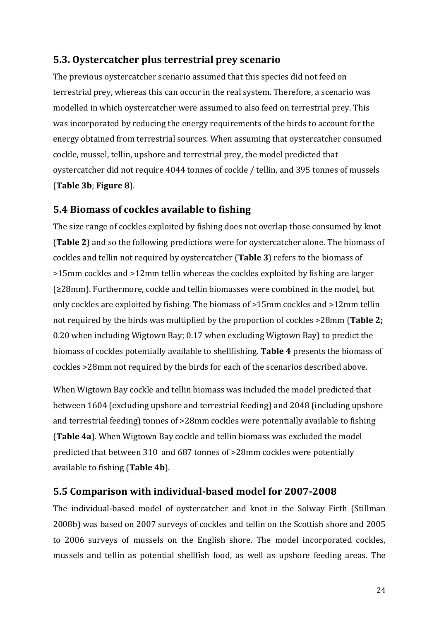# **5.3. Oystercatcher plus terrestrial prey scenario**

The previous oystercatcher scenario assumed that this species did not feed on terrestrial prey, whereas this can occur in the real system. Therefore, a scenario was modelled in which oystercatcher were assumed to also feed on terrestrial prey. This was incorporated by reducing the energy requirements of the birds to account for the energy obtained from terrestrial sources. When assuming that oystercatcher consumed cockle, mussel, tellin, upshore and terrestrial prey, the model predicted that oystercatcher did not require 4044 tonnes of cockle / tellin, and 395 tonnes of mussels (**Table 3b**; **Figure 8**).

# **5.4 Biomass of cockles available to fishing**

The size range of cockles exploited by fishing does not overlap those consumed by knot (**Table 2**) and so the following predictions were for oystercatcher alone. The biomass of cockles and tellin not required by oystercatcher (**Table 3**) refers to the biomass of >15mm cockles and >12mm tellin whereas the cockles exploited by fishing are larger (≥28mm). Furthermore, cockle and tellin biomasses were combined in the model, but only cockles are exploited by fishing. The biomass of >15mm cockles and >12mm tellin not required by the birds was multiplied by the proportion of cockles >28mm (**Table 2;** 0.20 when including Wigtown Bay; 0.17 when excluding Wigtown Bay) to predict the biomass of cockles potentially available to shellfishing. **Table 4** presents the biomass of cockles >28mm not required by the birds for each of the scenarios described above.

When Wigtown Bay cockle and tellin biomass was included the model predicted that between 1604 (excluding upshore and terrestrial feeding) and 2048 (including upshore and terrestrial feeding) tonnes of >28mm cockles were potentially available to fishing (**Table 4a**). When Wigtown Bay cockle and tellin biomass was excluded the model predicted that between 310 and 687 tonnes of >28mm cockles were potentially available to fishing (**Table 4b**).

# **5.5 Comparison with individual-based model for 2007-2008**

The individual-based model of oystercatcher and knot in the Solway Firth (Stillman 2008b) was based on 2007 surveys of cockles and tellin on the Scottish shore and 2005 to 2006 surveys of mussels on the English shore. The model incorporated cockles, mussels and tellin as potential shellfish food, as well as upshore feeding areas. The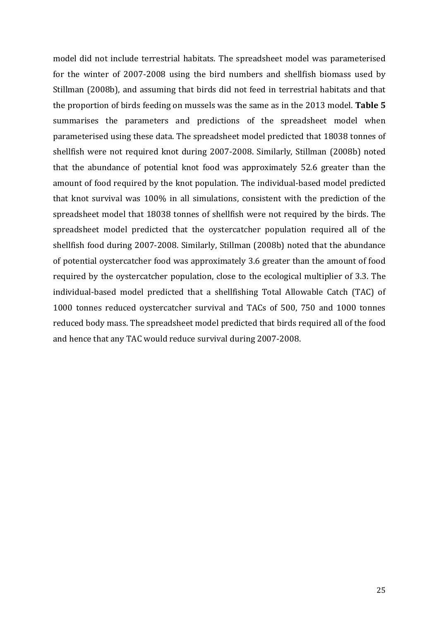model did not include terrestrial habitats. The spreadsheet model was parameterised for the winter of 2007-2008 using the bird numbers and shellfish biomass used by Stillman (2008b), and assuming that birds did not feed in terrestrial habitats and that the proportion of birds feeding on mussels was the same as in the 2013 model. **Table 5** summarises the parameters and predictions of the spreadsheet model when parameterised using these data. The spreadsheet model predicted that 18038 tonnes of shellfish were not required knot during 2007-2008. Similarly, Stillman (2008b) noted that the abundance of potential knot food was approximately 52.6 greater than the amount of food required by the knot population. The individual-based model predicted that knot survival was 100% in all simulations, consistent with the prediction of the spreadsheet model that 18038 tonnes of shellfish were not required by the birds. The spreadsheet model predicted that the oystercatcher population required all of the shellfish food during 2007-2008. Similarly, Stillman (2008b) noted that the abundance of potential oystercatcher food was approximately 3.6 greater than the amount of food required by the oystercatcher population, close to the ecological multiplier of 3.3. The individual-based model predicted that a shellfishing Total Allowable Catch (TAC) of 1000 tonnes reduced oystercatcher survival and TACs of 500, 750 and 1000 tonnes reduced body mass. The spreadsheet model predicted that birds required all of the food and hence that any TAC would reduce survival during 2007-2008.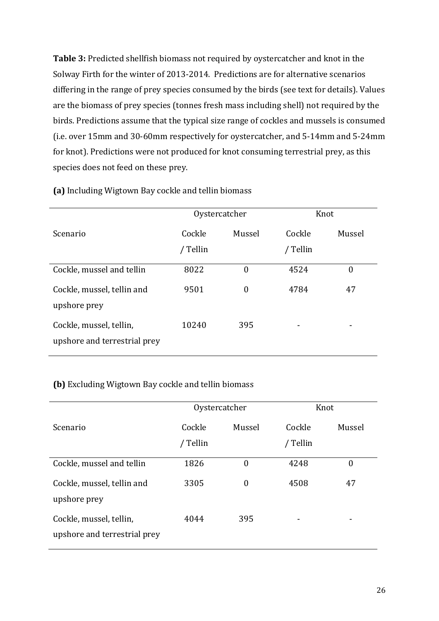**Table 3:** Predicted shellfish biomass not required by oystercatcher and knot in the Solway Firth for the winter of 2013-2014. Predictions are for alternative scenarios differing in the range of prey species consumed by the birds (see text for details). Values are the biomass of prey species (tonnes fresh mass including shell) not required by the birds. Predictions assume that the typical size range of cockles and mussels is consumed (i.e. over 15mm and 30-60mm respectively for oystercatcher, and 5-14mm and 5-24mm for knot). Predictions were not produced for knot consuming terrestrial prey, as this species does not feed on these prey.

|                                                         | Oystercatcher |                | Knot     |                |
|---------------------------------------------------------|---------------|----------------|----------|----------------|
| Scenario                                                | Cockle        | Mussel         | Cockle   | Mussel         |
|                                                         | / Tellin      |                | / Tellin |                |
| Cockle, mussel and tellin                               | 8022          | $\theta$       | 4524     | $\overline{0}$ |
| Cockle, mussel, tellin and<br>upshore prey              | 9501          | $\overline{0}$ | 4784     | 47             |
| Cockle, mussel, tellin,<br>upshore and terrestrial prey | 10240         | 395            |          |                |

**(a)** Including Wigtown Bay cockle and tellin biomass

### **(b)** Excluding Wigtown Bay cockle and tellin biomass

|                                                         | Oystercatcher |                | Knot     |        |
|---------------------------------------------------------|---------------|----------------|----------|--------|
| Scenario                                                | Cockle        | Mussel         | Cockle   | Mussel |
|                                                         | / Tellin      |                | / Tellin |        |
| Cockle, mussel and tellin                               | 1826          | $\theta$       | 4248     | 0      |
| Cockle, mussel, tellin and<br>upshore prey              | 3305          | $\overline{0}$ | 4508     | 47     |
| Cockle, mussel, tellin,<br>upshore and terrestrial prey | 4044          | 395            |          | ۰      |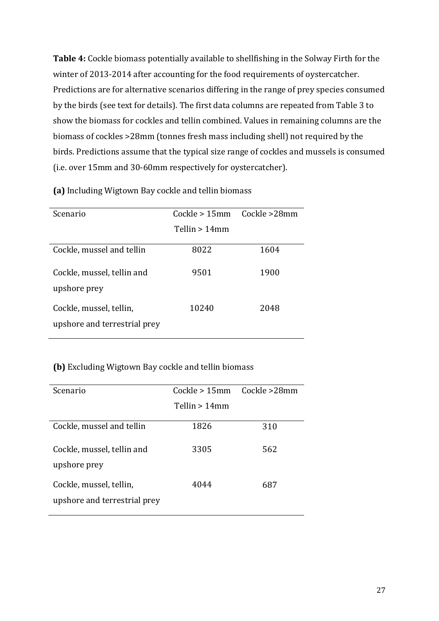**Table 4:** Cockle biomass potentially available to shellfishing in the Solway Firth for the winter of 2013-2014 after accounting for the food requirements of oystercatcher. Predictions are for alternative scenarios differing in the range of prey species consumed by the birds (see text for details). The first data columns are repeated from Table 3 to show the biomass for cockles and tellin combined. Values in remaining columns are the biomass of cockles >28mm (tonnes fresh mass including shell) not required by the birds. Predictions assume that the typical size range of cockles and mussels is consumed (i.e. over 15mm and 30-60mm respectively for oystercatcher).

| Scenario                                                | Cockle > 15mm   | Cockle >28mm |
|---------------------------------------------------------|-----------------|--------------|
|                                                         | Tellin $>14$ mm |              |
| Cockle, mussel and tellin                               | 8022            | 1604         |
| Cockle, mussel, tellin and<br>upshore prey              | 9501            | 1900         |
| Cockle, mussel, tellin,<br>upshore and terrestrial prey | 10240           | 2048         |

**(a)** Including Wigtown Bay cockle and tellin biomass

### **(b)** Excluding Wigtown Bay cockle and tellin biomass

| Scenario                     | Cockle > 15mm Cockle > 28mm |     |
|------------------------------|-----------------------------|-----|
|                              | Tellin > 14mm               |     |
|                              |                             |     |
| Cockle, mussel and tellin    | 1826                        | 310 |
| Cockle, mussel, tellin and   | 3305                        | 562 |
| upshore prey                 |                             |     |
| Cockle, mussel, tellin,      | 4044                        | 687 |
| upshore and terrestrial prey |                             |     |
|                              |                             |     |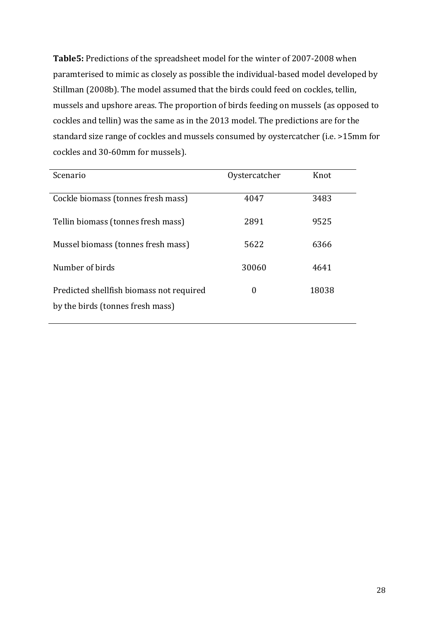**Table5:** Predictions of the spreadsheet model for the winter of 2007-2008 when paramterised to mimic as closely as possible the individual-based model developed by Stillman (2008b). The model assumed that the birds could feed on cockles, tellin, mussels and upshore areas. The proportion of birds feeding on mussels (as opposed to cockles and tellin) was the same as in the 2013 model. The predictions are for the standard size range of cockles and mussels consumed by oystercatcher (i.e. >15mm for cockles and 30-60mm for mussels).

| Scenario                                                                     | Oystercatcher | Knot  |
|------------------------------------------------------------------------------|---------------|-------|
| Cockle biomass (tonnes fresh mass)                                           | 4047          | 3483  |
| Tellin biomass (tonnes fresh mass)                                           | 2891          | 9525  |
| Mussel biomass (tonnes fresh mass)                                           | 5622          | 6366  |
| Number of birds                                                              | 30060         | 4641  |
| Predicted shellfish biomass not required<br>by the birds (tonnes fresh mass) | 0             | 18038 |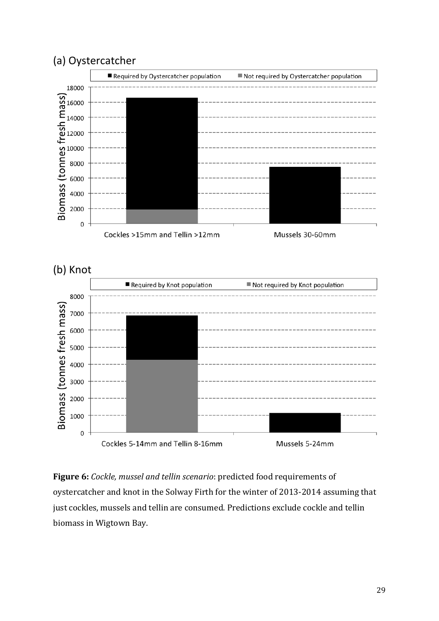

**Figure 6:** *Cockle, mussel and tellin scenario*: predicted food requirements of oystercatcher and knot in the Solway Firth for the winter of 2013-2014 assuming that just cockles, mussels and tellin are consumed. Predictions exclude cockle and tellin biomass in Wigtown Bay.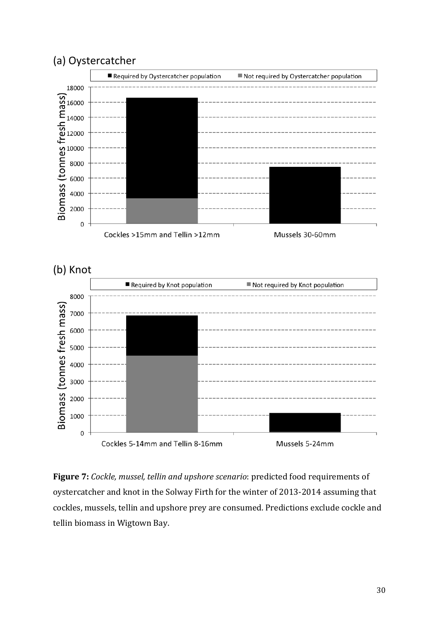

**Figure 7:** *Cockle, mussel, tellin and upshore scenario*: predicted food requirements of oystercatcher and knot in the Solway Firth for the winter of 2013-2014 assuming that cockles, mussels, tellin and upshore prey are consumed. Predictions exclude cockle and tellin biomass in Wigtown Bay.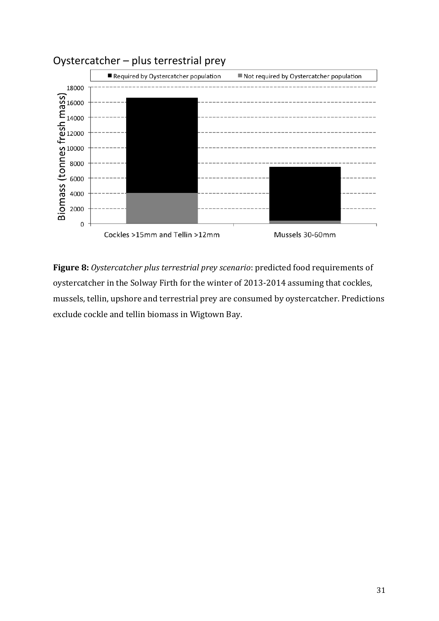

**Figure 8:** *Oystercatcher plus terrestrial prey scenario*: predicted food requirements of oystercatcher in the Solway Firth for the winter of 2013-2014 assuming that cockles, mussels, tellin, upshore and terrestrial prey are consumed by oystercatcher. Predictions exclude cockle and tellin biomass in Wigtown Bay.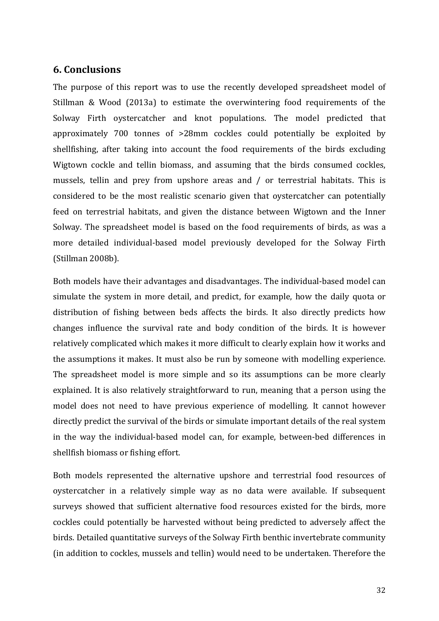# **6. Conclusions**

The purpose of this report was to use the recently developed spreadsheet model of Stillman & Wood (2013a) to estimate the overwintering food requirements of the Solway Firth oystercatcher and knot populations. The model predicted that approximately 700 tonnes of >28mm cockles could potentially be exploited by shellfishing, after taking into account the food requirements of the birds excluding Wigtown cockle and tellin biomass, and assuming that the birds consumed cockles, mussels, tellin and prey from upshore areas and / or terrestrial habitats. This is considered to be the most realistic scenario given that oystercatcher can potentially feed on terrestrial habitats, and given the distance between Wigtown and the Inner Solway. The spreadsheet model is based on the food requirements of birds, as was a more detailed individual-based model previously developed for the Solway Firth (Stillman 2008b).

Both models have their advantages and disadvantages. The individual-based model can simulate the system in more detail, and predict, for example, how the daily quota or distribution of fishing between beds affects the birds. It also directly predicts how changes influence the survival rate and body condition of the birds. It is however relatively complicated which makes it more difficult to clearly explain how it works and the assumptions it makes. It must also be run by someone with modelling experience. The spreadsheet model is more simple and so its assumptions can be more clearly explained. It is also relatively straightforward to run, meaning that a person using the model does not need to have previous experience of modelling. It cannot however directly predict the survival of the birds or simulate important details of the real system in the way the individual-based model can, for example, between-bed differences in shellfish biomass or fishing effort.

Both models represented the alternative upshore and terrestrial food resources of oystercatcher in a relatively simple way as no data were available. If subsequent surveys showed that sufficient alternative food resources existed for the birds, more cockles could potentially be harvested without being predicted to adversely affect the birds. Detailed quantitative surveys of the Solway Firth benthic invertebrate community (in addition to cockles, mussels and tellin) would need to be undertaken. Therefore the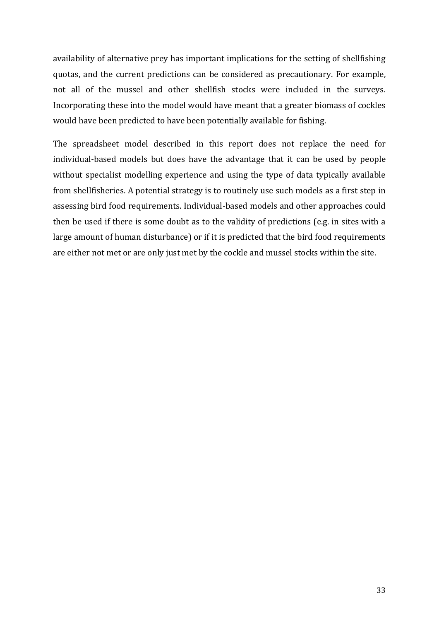availability of alternative prey has important implications for the setting of shellfishing quotas, and the current predictions can be considered as precautionary. For example, not all of the mussel and other shellfish stocks were included in the surveys. Incorporating these into the model would have meant that a greater biomass of cockles would have been predicted to have been potentially available for fishing.

The spreadsheet model described in this report does not replace the need for individual-based models but does have the advantage that it can be used by people without specialist modelling experience and using the type of data typically available from shellfisheries. A potential strategy is to routinely use such models as a first step in assessing bird food requirements. Individual-based models and other approaches could then be used if there is some doubt as to the validity of predictions (e.g. in sites with a large amount of human disturbance) or if it is predicted that the bird food requirements are either not met or are only just met by the cockle and mussel stocks within the site.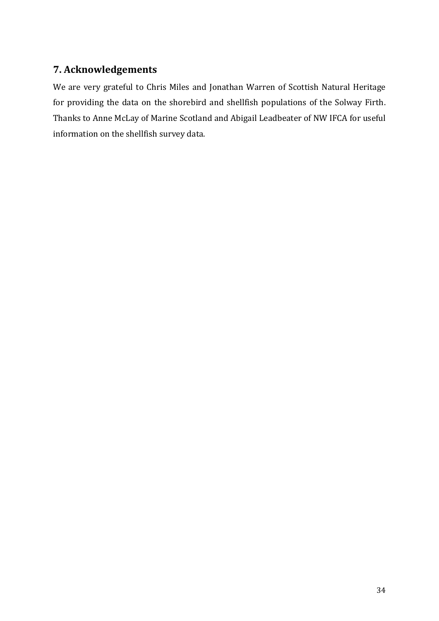# **7. Acknowledgements**

We are very grateful to Chris Miles and Jonathan Warren of Scottish Natural Heritage for providing the data on the shorebird and shellfish populations of the Solway Firth. Thanks to Anne McLay of Marine Scotland and Abigail Leadbeater of NW IFCA for useful information on the shellfish survey data.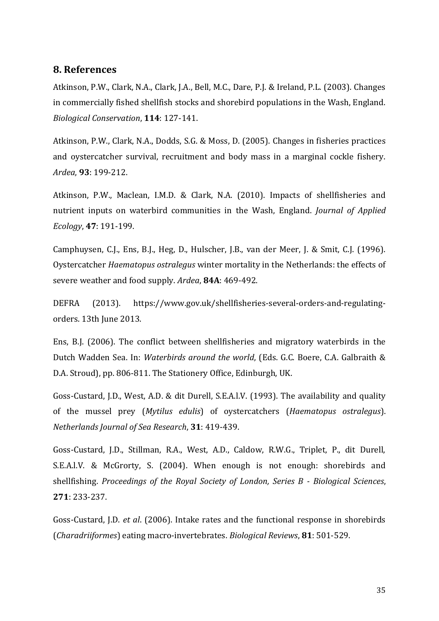#### **8. References**

Atkinson, P.W., Clark, N.A., Clark, J.A., Bell, M.C., Dare, P.J. & Ireland, P.L. (2003). Changes in commercially fished shellfish stocks and shorebird populations in the Wash, England. *Biological Conservation*, **114**: 127-141.

Atkinson, P.W., Clark, N.A., Dodds, S.G. & Moss, D. (2005). Changes in fisheries practices and oystercatcher survival, recruitment and body mass in a marginal cockle fishery. *Ardea*, **93**: 199-212.

Atkinson, P.W., Maclean, I.M.D. & Clark, N.A. (2010). Impacts of shellfisheries and nutrient inputs on waterbird communities in the Wash, England. *Journal of Applied Ecology*, **47**: 191-199.

Camphuysen, C.J., Ens, B.J., Heg, D., Hulscher, J.B., van der Meer, J. & Smit, C.J. (1996). Oystercatcher *Haematopus ostralegus* winter mortality in the Netherlands: the effects of severe weather and food supply. *Ardea*, **84A**: 469-492.

DEFRA (2013). https://www.gov.uk/shellfisheries-several-orders-and-regulatingorders. 13th June 2013.

Ens, B.J. (2006). The conflict between shellfisheries and migratory waterbirds in the Dutch Wadden Sea. In: *Waterbirds around the world*, (Eds. G.C. Boere, C.A. Galbraith & D.A. Stroud), pp. 806-811. The Stationery Office, Edinburgh, UK.

Goss-Custard, J.D., West, A.D. & dit Durell, S.E.A.l.V. (1993). The availability and quality of the mussel prey (*Mytilus edulis*) of oystercatchers (*Haematopus ostralegus*). *Netherlands Journal of Sea Research*, **31**: 419-439.

Goss-Custard, J.D., Stillman, R.A., West, A.D., Caldow, R.W.G., Triplet, P., dit Durell, S.E.A.l.V. & McGrorty, S. (2004). When enough is not enough: shorebirds and shellfishing. *Proceedings of the Royal Society of London, Series B - Biological Sciences*, **271**: 233-237.

Goss-Custard, J.D. *et al*. (2006). Intake rates and the functional response in shorebirds (*Charadriiformes*) eating macro-invertebrates. *Biological Reviews*, **81**: 501-529.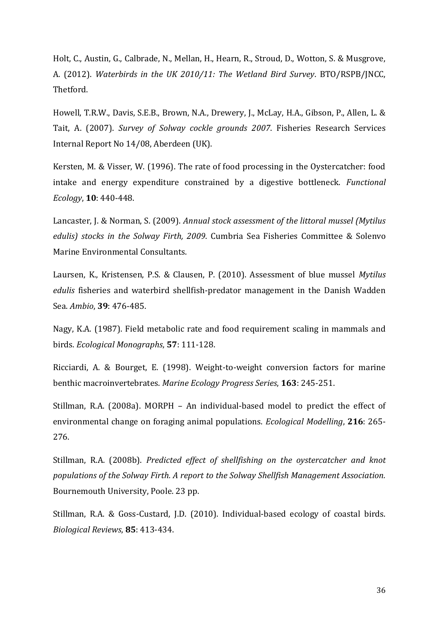Holt, C., Austin, G., Calbrade, N., Mellan, H., Hearn, R., Stroud, D., Wotton, S. & Musgrove, A. (2012). *Waterbirds in the UK 2010/11: The Wetland Bird Survey*. BTO/RSPB/JNCC, Thetford.

Howell, T.R.W., Davis, S.E.B., Brown, N.A., Drewery, J., McLay, H.A., Gibson, P., Allen, L. & Tait, A. (2007). *Survey of Solway cockle grounds 2007*. Fisheries Research Services Internal Report No 14/08, Aberdeen (UK).

Kersten, M. & Visser, W. (1996). The rate of food processing in the Oystercatcher: food intake and energy expenditure constrained by a digestive bottleneck. *Functional Ecology*, **10**: 440-448.

Lancaster, J. & Norman, S. (2009). *Annual stock assessment of the littoral mussel (Mytilus edulis) stocks in the Solway Firth, 2009*. Cumbria Sea Fisheries Committee & Solenvo Marine Environmental Consultants.

Laursen, K., Kristensen, P.S. & Clausen, P. (2010). Assessment of blue mussel *Mytilus edulis* fisheries and waterbird shellfish-predator management in the Danish Wadden Sea. *Ambio*, **39**: 476-485.

Nagy, K.A. (1987). Field metabolic rate and food requirement scaling in mammals and birds. *Ecological Monographs*, **57**: 111-128.

Ricciardi, A. & Bourget, E. (1998). Weight-to-weight conversion factors for marine benthic macroinvertebrates. *Marine Ecology Progress Series*, **163**: 245-251.

Stillman, R.A. (2008a). MORPH – An individual-based model to predict the effect of environmental change on foraging animal populations. *Ecological Modelling*, **216**: 265- 276.

Stillman, R.A. (2008b). *Predicted effect of shellfishing on the oystercatcher and knot populations of the Solway Firth. A report to the Solway Shellfish Management Association.*  Bournemouth University, Poole. 23 pp.

Stillman, R.A. & Goss-Custard, J.D. (2010). Individual-based ecology of coastal birds. *Biological Reviews*, **85**: 413-434.